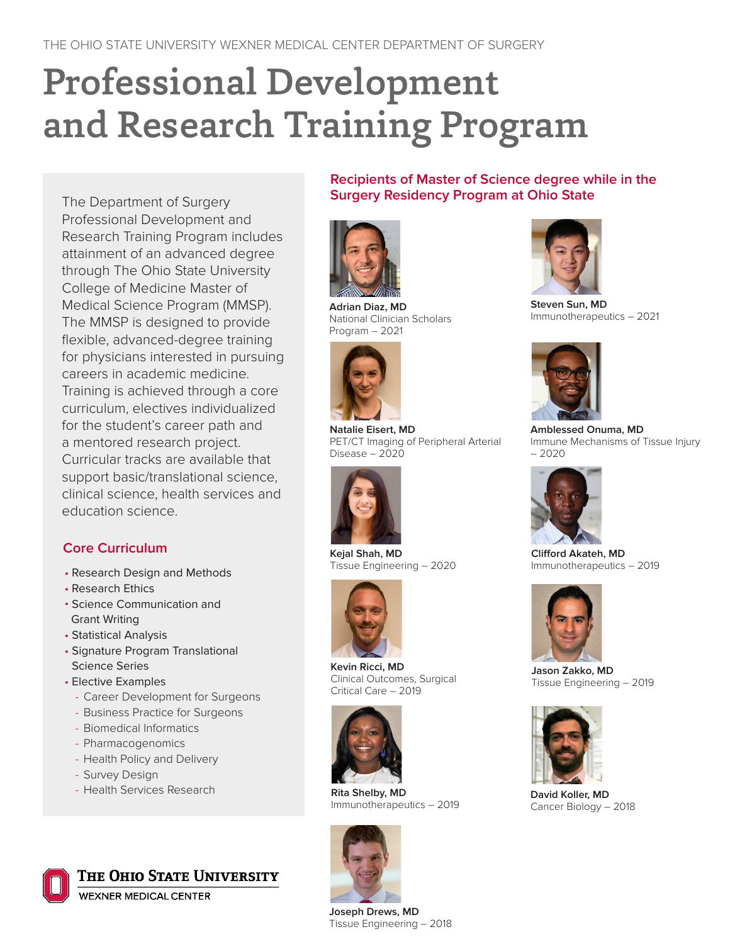# Professional Development and Research Training Program

The Department of Surgery Professional Development and Research Training Program includes attainment of an advanced degree through The Ohio State University College of Medicine Master of Medical Science Program (MMSP). The MMSP is designed to provide fexible, advanced-degree training for physicians interested in pursuing careers in academic medicine. Training is achieved through a core curriculum, electives individualized for the student's career path and a mentored research project. Curricular tracks are available that support basic/translational science, clinical science, health services and education science.

## **Core Curriculum**

- Research Design and Methods
- Research Ethics
- Science Communication and Grant Writing
- Statistical Analysis
- Signature Program Translational Science Series
- Elective Examples
	- Career Development for Surgeons
	- Business Practice for Surgeons
	- Biomedical Informatics
	- Pharmacogenomics
	- Health Policy and Delivery
	- Survey Design
	- Health Services Research



**WEXNER MEDICAL CENTER** 

**Recipients of Master of Science degree while in the Surgery Residency Program at Ohio State**



**Adrian Diaz, MD** National Clinician Scholars Program – 2021



**Natalie Eisert, MD** PET/CT Imaging of Peripheral Arterial Disease – 2020



**Kejal Shah, MD**  Tissue Engineering – 2020



**Kevin Ricci, MD**  Clinical Outcomes, Surgical Critical Care – 2019



**Rita Shelby, MD** Immunotherapeutics – 2019



**Joseph Drews, MD** Tissue Engineering – 2018



**Steven Sun, MD**  Immunotherapeutics – 2021



**Amblessed Onuma, MD** Immune Mechanisms of Tissue Injury – 2020



**Cliford Akateh, MD**  Immunotherapeutics – 2019



**Jason Zakko, MD** Tissue Engineering – 2019



**David Koller, MD** Cancer Biology – 2018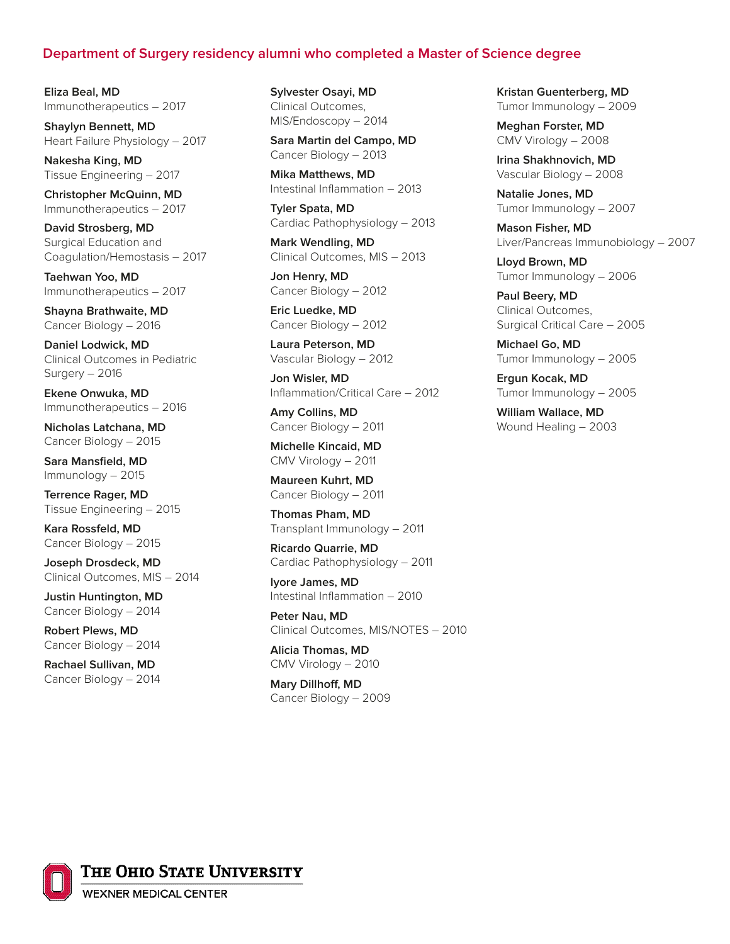#### **Department of Surgery residency alumni who completed a Master of Science degree**

**Eliza Beal, MD** Immunotherapeutics – 2017

**Shaylyn Bennett, MD**  Heart Failure Physiology – 2017

**Nakesha King, MD**  Tissue Engineering – 2017

**Christopher McQuinn, MD** Immunotherapeutics – 2017

**David Strosberg, MD**  Surgical Education and Coagulation/Hemostasis – 2017

**Taehwan Yoo, MD**  Immunotherapeutics – 2017

**Shayna Brathwaite, MD**  Cancer Biology – 2016

**Daniel Lodwick, MD**  Clinical Outcomes in Pediatric Surgery – 2016

**Ekene Onwuka, MD** Immunotherapeutics – 2016

**Nicholas Latchana, MD** Cancer Biology – 2015

Sara Mansfield, MD Immunology – 2015

**Terrence Rager, MD** Tissue Engineering – 2015

**Kara Rossfeld, MD** Cancer Biology – 2015

**Joseph Drosdeck, MD** Clinical Outcomes, MIS – 2014

**Justin Huntington, MD** Cancer Biology – 2014

**Robert Plews, MD**  Cancer Biology – 2014

**Rachael Sullivan, MD** Cancer Biology – 2014 **Sylvester Osayi, MD**  Clinical Outcomes, MIS/Endoscopy – 2014

**Sara Martin del Campo, MD**  Cancer Biology – 2013

**Mika Matthews, MD**  Intestinal Infammation – 2013

**Tyler Spata, MD**  Cardiac Pathophysiology – 2013

**Mark Wendling, MD**  Clinical Outcomes, MIS – 2013

**Jon Henry, MD**  Cancer Biology – 2012

**Eric Luedke, MD** Cancer Biology – 2012

**Laura Peterson, MD**  Vascular Biology – 2012

**Jon Wisler, MD**  Infammation/Critical Care – 2012

**Amy Collins, MD**  Cancer Biology – 2011

**Michelle Kincaid, MD**  CMV Virology – 2011

**Maureen Kuhrt, MD**  Cancer Biology – 2011

**Thomas Pham, MD**  Transplant Immunology – 2011

**Ricardo Quarrie, MD**  Cardiac Pathophysiology – 2011

**Iyore James, MD**  Intestinal Infammation – 2010

**Peter Nau, MD**  Clinical Outcomes, MIS/NOTES – 2010

**Alicia Thomas, MD**  CMV Virology – 2010

**Mary Dillhof, MD**  Cancer Biology – 2009 **Kristan Guenterberg, MD**  Tumor Immunology – 2009

**Meghan Forster, MD**  CMV Virology – 2008

**Irina Shakhnovich, MD** Vascular Biology – 2008

**Natalie Jones, MD**  Tumor Immunology – 2007

**Mason Fisher, MD**  Liver/Pancreas Immunobiology – 2007

**Lloyd Brown, MD**  Tumor Immunology – 2006

**Paul Beery, MD**  Clinical Outcomes, Surgical Critical Care – 2005

**Michael Go, MD**  Tumor Immunology – 2005

**Ergun Kocak, MD**  Tumor Immunology – 2005

**William Wallace, MD**  Wound Healing – 2003



THE OHIO STATE UNIVERSITY

**WEXNER MEDICAL CENTER**